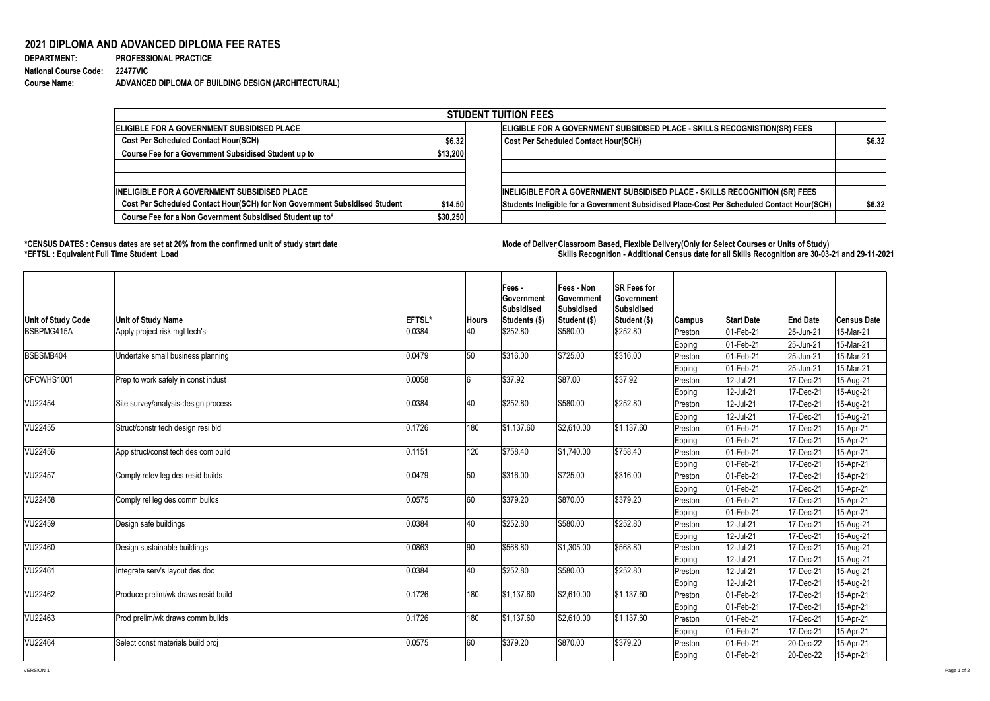## **2021 DIPLOMA AND ADVANCED DIPLOMA FEE RATES**

| <b>DEPARTMENT:</b>                    | <b>PROFESSIONAL PRACTICE</b>                        |
|---------------------------------------|-----------------------------------------------------|
| <b>National Course Code: 22477VIC</b> |                                                     |
| <b>Course Name:</b>                   | ADVANCED DIPLOMA OF BUILDING DESIGN (ARCHITECTURAL) |

\*CENSUS DATES : Census dates are set at 20% from the confirmed unit of study start date **Mode of Deliver Classroom Based, Flexible Delivery(Only for Select Courses or Units of Study) \*EFTSL : Equivalent Full Time Student Load Skills Recognition - Additional Census date for all Skills Recognition are 30-03-21 and 29-11-2021** 

|                                                                            |          | <b>STUDENT TUITION FEES</b>                                                                |        |  |  |  |  |
|----------------------------------------------------------------------------|----------|--------------------------------------------------------------------------------------------|--------|--|--|--|--|
| ELIGIBLE FOR A GOVERNMENT SUBSIDISED PLACE                                 |          | ELIGIBLE FOR A GOVERNMENT SUBSIDISED PLACE - SKILLS RECOGNISTION(SR) FEES                  |        |  |  |  |  |
| <b>Cost Per Scheduled Contact Hour(SCH)</b><br>\$6.32                      |          | <b>Cost Per Scheduled Contact Hour(SCH)</b>                                                | \$6.32 |  |  |  |  |
| <b>Course Fee for a Government Subsidised Student up to</b>                | \$13,200 |                                                                                            |        |  |  |  |  |
| <b>INELIGIBLE FOR A GOVERNMENT SUBSIDISED PLACE</b>                        |          | INELIGIBLE FOR A GOVERNMENT SUBSIDISED PLACE - SKILLS RECOGNITION (SR) FEES                |        |  |  |  |  |
| Cost Per Scheduled Contact Hour(SCH) for Non Government Subsidised Student | \$14.50  | Students Ineligible for a Government Subsidised Place-Cost Per Scheduled Contact Hour(SCH) | \$6.32 |  |  |  |  |
| Course Fee for a Non Government Subsidised Student up to*                  | \$30,250 |                                                                                            |        |  |  |  |  |

| <b>Unit of Study Code</b> | <b>Unit of Study Name</b>           | <b>EFTSL*</b> | ∣Hours | Fees -<br><b>Sovernment</b><br>Subsidised<br><b>Students (\$)</b> | Fees - Non<br><b>Government</b><br><b>Subsidised</b><br>Student (\$) | <b>SR Fees for</b><br><b>Government</b><br>Subsidised<br>Student (\$) | <b>Campus</b> | <b>Start Date</b> | <b>End Date</b> | <b>Census Date</b> |
|---------------------------|-------------------------------------|---------------|--------|-------------------------------------------------------------------|----------------------------------------------------------------------|-----------------------------------------------------------------------|---------------|-------------------|-----------------|--------------------|
| BSBPMG415A                | Apply project risk mgt tech's       | 0.0384        | 40     | \$252.80                                                          | \$580.00                                                             | \$252.80                                                              | Preston       | 01-Feb-21         | 25-Jun-21       | 15-Mar-21          |
|                           |                                     |               |        |                                                                   |                                                                      |                                                                       | <b>Epping</b> | 01-Feb-21         | 25-Jun-21       | 15-Mar-21          |
| BSBSMB404                 | Undertake small business planning   | 0.0479        | 50     | \$316.00                                                          | \$725.00                                                             | \$316.00                                                              | Preston       | 01-Feb-21         | 25-Jun-21       | 15-Mar-21          |
|                           |                                     |               |        |                                                                   |                                                                      |                                                                       | <b>Epping</b> | 01-Feb-21         | 25-Jun-21       | 15-Mar-21          |
| CPCWHS1001                | Prep to work safely in const indust | 0.0058        | O      | \$37.92                                                           | \$87.00                                                              | \$37.92                                                               | Preston       | 12-Jul-21         | 17-Dec-21       | 15-Aug-21          |
|                           |                                     |               |        |                                                                   |                                                                      |                                                                       | <b>Epping</b> | 12-Jul-21         | 17-Dec-21       | 15-Aug-21          |
| VU22454                   | Site survey/analysis-design process | 0.0384        | 40     | \$252.80                                                          | \$580.00                                                             | \$252.80                                                              | Preston       | 12-Jul-21         | 17-Dec-21       | 15-Aug-21          |
|                           |                                     |               |        |                                                                   |                                                                      |                                                                       | <b>Epping</b> | 12-Jul-21         | 17-Dec-21       | 15-Aug-21          |
| VU22455                   | Struct/constr tech design resi bld  | 0.1726        | 180    | \$1,137.60                                                        | \$2,610.00                                                           | \$1,137.60                                                            | Preston       | 01-Feb-21         | 17-Dec-21       | 15-Apr-21          |
|                           |                                     |               |        |                                                                   |                                                                      |                                                                       | <b>Epping</b> | 01-Feb-21         | 17-Dec-21       | 15-Apr-21          |
| <b>VU22456</b>            | App struct/const tech des com build | 0.1151        | 120    | \$758.40                                                          | \$1,740.00                                                           | \$758.40                                                              | Preston       | 01-Feb-21         | 17-Dec-21       | 15-Apr-21          |
|                           |                                     |               |        |                                                                   |                                                                      |                                                                       | <b>Epping</b> | 01-Feb-21         | 17-Dec-21       | 15-Apr-21          |
| <b>VU22457</b>            | Comply relev leg des resid builds   | 0.0479        | 50     | \$316.00                                                          | \$725.00                                                             | \$316.00                                                              | Preston       | 01-Feb-21         | 17-Dec-21       | 15-Apr-21          |
|                           |                                     |               |        |                                                                   |                                                                      |                                                                       | Epping        | 01-Feb-21         | 17-Dec-21       | 15-Apr-21          |
| VU22458                   | Comply rel leg des comm builds      | 0.0575        | 60     | \$379.20                                                          | \$870.00                                                             | \$379.20                                                              | Preston       | 01-Feb-21         | 17-Dec-21       | 15-Apr-21          |
|                           |                                     |               |        |                                                                   |                                                                      |                                                                       | <b>Epping</b> | 01-Feb-21         | 17-Dec-21       | 15-Apr-21          |
| VU22459                   | Design safe buildings               | 0.0384        | 40     | \$252.80                                                          | \$580.00                                                             | \$252.80                                                              | Preston       | 12-Jul-21         | 17-Dec-21       | 15-Aug-21          |
|                           |                                     |               |        |                                                                   |                                                                      |                                                                       | <b>Epping</b> | 12-Jul-21         | 17-Dec-21       | 15-Aug-21          |
| VU22460                   | Design sustainable buildings        | 0.0863        | 90     | \$568.80                                                          | \$1,305.00                                                           | \$568.80                                                              | Preston       | 12-Jul-21         | 17-Dec-21       | 15-Aug-21          |
|                           |                                     |               |        |                                                                   |                                                                      |                                                                       | <b>Epping</b> | 12-Jul-21         | 17-Dec-21       | 15-Aug-21          |
| <b>VU22461</b>            | Integrate serv's layout des doc     | 0.0384        | 40     | \$252.80                                                          | \$580.00                                                             | \$252.80                                                              | Preston       | 12-Jul-21         | 17-Dec-21       | 15-Aug-21          |
|                           |                                     |               |        |                                                                   |                                                                      |                                                                       | <b>Epping</b> | 12-Jul-21         | 17-Dec-21       | 15-Aug-21          |
| VU22462                   | Produce prelim/wk draws resid build | 0.1726        | 180    | \$1,137.60                                                        | \$2,610.00                                                           | \$1,137.60                                                            | Preston       | 01-Feb-21         | 17-Dec-21       | 15-Apr-21          |
|                           |                                     |               |        |                                                                   |                                                                      |                                                                       | <b>Epping</b> | 01-Feb-21         | 17-Dec-21       | 15-Apr-21          |
| VU22463                   | Prod prelim/wk draws comm builds    | 0.1726        | 180    | \$1,137.60                                                        | \$2,610.00                                                           | \$1,137.60                                                            | Preston       | 01-Feb-21         | 17-Dec-21       | 15-Apr-21          |
|                           |                                     |               |        |                                                                   |                                                                      |                                                                       | <b>Epping</b> | 01-Feb-21         | 17-Dec-21       | 15-Apr-21          |
| VU22464                   | Select const materials build proj   | 0.0575        | 60     | \$379.20                                                          | \$870.00                                                             | \$379.20                                                              | Preston       | 01-Feb-21         | 20-Dec-22       | 15-Apr-21          |
|                           |                                     |               |        |                                                                   |                                                                      |                                                                       | Epping        | 01-Feb-21         | 20-Dec-22       | 15-Apr-21          |